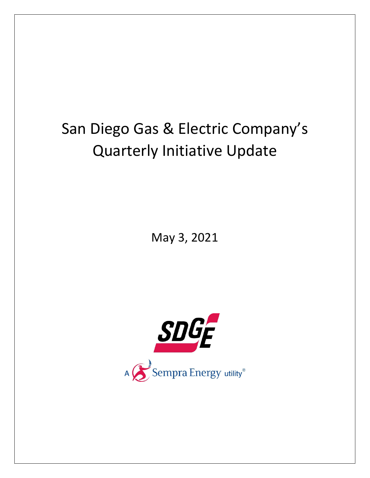## San Diego Gas & Electric Company's Quarterly Initiative Update

May 3, 2021